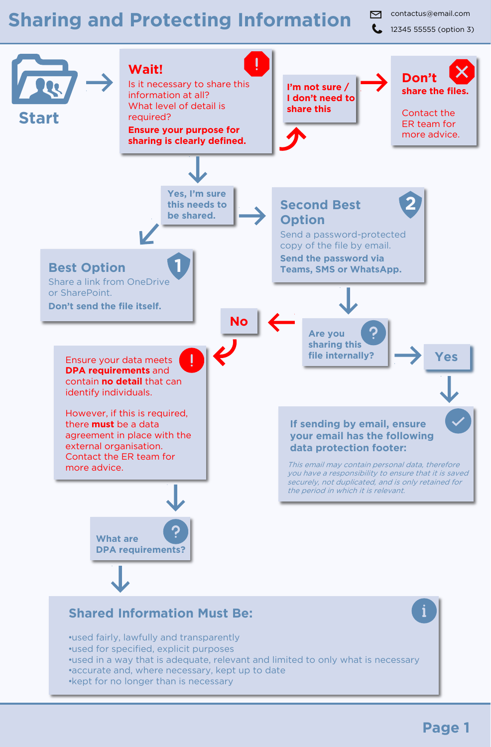## Sharing and Protecting Information **Contactus@email.com**

12345 55555 (option 3)



•kept for no longer than is necessary